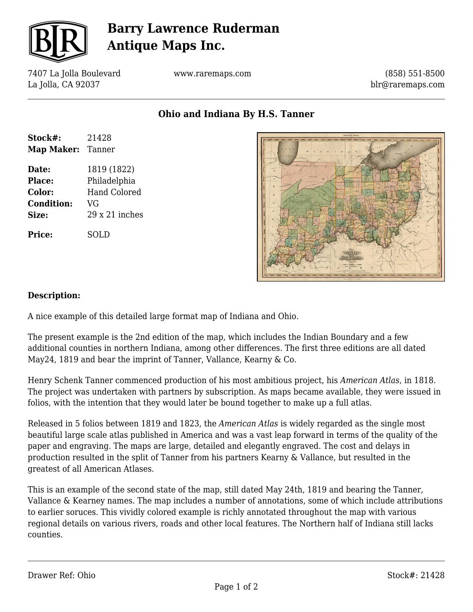

## **Barry Lawrence Ruderman Antique Maps Inc.**

7407 La Jolla Boulevard La Jolla, CA 92037

www.raremaps.com

(858) 551-8500 blr@raremaps.com

**Ohio and Indiana By H.S. Tanner**

| Stock#:           | 21428                 |
|-------------------|-----------------------|
| Map Maker: Tanner |                       |
| Date:             | 1819 (1822)           |
| <b>Place:</b>     | Philadelphia          |
| Color:            | <b>Hand Colored</b>   |
| <b>Condition:</b> | VG                    |
| Size:             | $29 \times 21$ inches |
| Price:            | SOLD                  |



## **Description:**

A nice example of this detailed large format map of Indiana and Ohio.

The present example is the 2nd edition of the map, which includes the Indian Boundary and a few additional counties in northern Indiana, among other differences. The first three editions are all dated May24, 1819 and bear the imprint of Tanner, Vallance, Kearny & Co.

Henry Schenk Tanner commenced production of his most ambitious project, his *American Atlas*, in 1818. The project was undertaken with partners by subscription. As maps became available, they were issued in folios, with the intention that they would later be bound together to make up a full atlas.

Released in 5 folios between 1819 and 1823, the *American Atlas* is widely regarded as the single most beautiful large scale atlas published in America and was a vast leap forward in terms of the quality of the paper and engraving. The maps are large, detailed and elegantly engraved. The cost and delays in production resulted in the split of Tanner from his partners Kearny & Vallance, but resulted in the greatest of all American Atlases.

This is an example of the second state of the map, still dated May 24th, 1819 and bearing the Tanner, Vallance & Kearney names. The map includes a number of annotations, some of which include attributions to earlier soruces. This vividly colored example is richly annotated throughout the map with various regional details on various rivers, roads and other local features. The Northern half of Indiana still lacks counties.